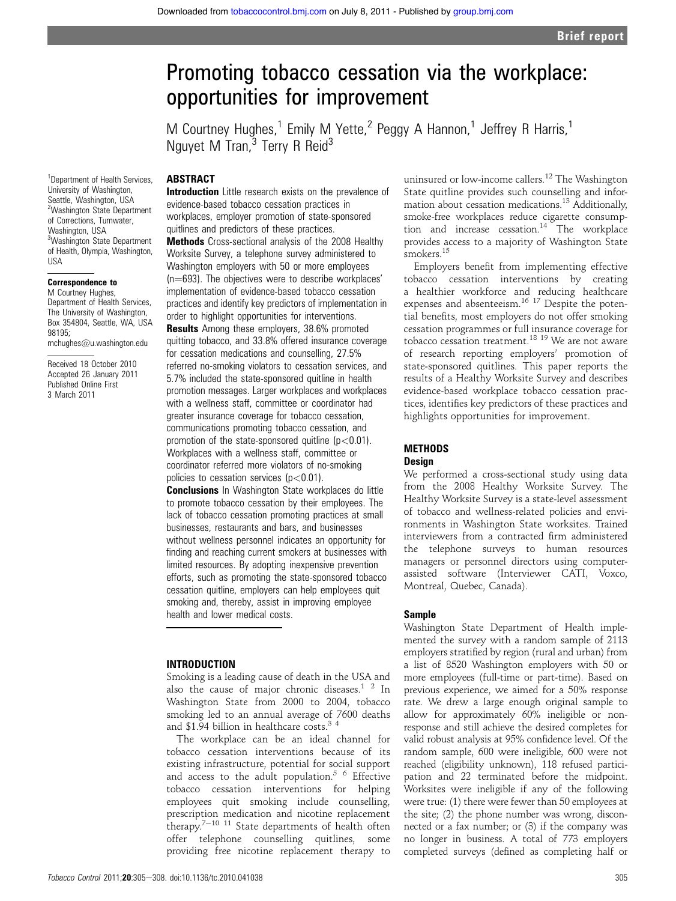# Promoting tobacco cessation via the workplace: opportunities for improvement

M Courtney Hughes,<sup>1</sup> Emily M Yette,<sup>2</sup> Peggy A Hannon,<sup>1</sup> Jeffrey R Harris,<sup>1</sup> Nguyet M Tran, $3$  Terry R Reid<sup>3</sup>

# **ABSTRACT**

<sup>1</sup>Department of Health Services, University of Washington, Seattle, Washington, USA 2 Washington State Department of Corrections, Tumwater, Washington, USA 3 Washington State Department of Health, Olympia, Washington, USA

#### Correspondence to M Courtney Hughes.

Department of Health Services, The University of Washington, Box 354804, Seattle, WA, USA 98195;

mchughes@u.washington.edu

Received 18 October 2010 Accepted 26 January 2011 Published Online First 3 March 2011

Introduction Little research exists on the prevalence of evidence-based tobacco cessation practices in workplaces, employer promotion of state-sponsored quitlines and predictors of these practices. Methods Cross-sectional analysis of the 2008 Healthy Worksite Survey, a telephone survey administered to Washington employers with 50 or more employees  $(n=693)$ . The objectives were to describe workplaces' implementation of evidence-based tobacco cessation practices and identify key predictors of implementation in order to highlight opportunities for interventions.

**Results** Among these employers, 38.6% promoted quitting tobacco, and 33.8% offered insurance coverage for cessation medications and counselling, 27.5% referred no-smoking violators to cessation services, and 5.7% included the state-sponsored quitline in health promotion messages. Larger workplaces and workplaces with a wellness staff, committee or coordinator had greater insurance coverage for tobacco cessation, communications promoting tobacco cessation, and promotion of the state-sponsored quitline  $(p<0.01)$ . Workplaces with a wellness staff, committee or coordinator referred more violators of no-smoking policies to cessation services  $(p<0.01)$ .

**Conclusions** In Washington State workplaces do little to promote tobacco cessation by their employees. The lack of tobacco cessation promoting practices at small businesses, restaurants and bars, and businesses without wellness personnel indicates an opportunity for finding and reaching current smokers at businesses with limited resources. By adopting inexpensive prevention efforts, such as promoting the state-sponsored tobacco cessation quitline, employers can help employees quit smoking and, thereby, assist in improving employee health and lower medical costs.

## INTRODUCTION

Smoking is a leading cause of death in the USA and also the cause of major chronic diseases.<sup>1</sup> <sup>2</sup> In Washington State from 2000 to 2004, tobacco smoking led to an annual average of 7600 deaths and \$1.94 billion in healthcare costs. $3\frac{3}{4}$ 

The workplace can be an ideal channel for tobacco cessation interventions because of its existing infrastructure, potential for social support and access to the adult population.<sup>5  $6$ </sup> Effective tobacco cessation interventions for helping employees quit smoking include counselling, prescription medication and nicotine replacement therapy.<sup>7-10 11</sup> State departments of health often offer telephone counselling quitlines, some providing free nicotine replacement therapy to

uninsured or low-income callers.<sup>12</sup> The Washington State quitline provides such counselling and information about cessation medications.13 Additionally, smoke-free workplaces reduce cigarette consumption and increase cessation.14 The workplace provides access to a majority of Washington State smokers.<sup>15</sup>

Employers benefit from implementing effective tobacco cessation interventions by creating a healthier workforce and reducing healthcare expenses and absenteeism.<sup>16 17</sup> Despite the potential benefits, most employers do not offer smoking cessation programmes or full insurance coverage for tobacco cessation treatment.18 19 We are not aware of research reporting employers' promotion of state-sponsored quitlines. This paper reports the results of a Healthy Worksite Survey and describes evidence-based workplace tobacco cessation practices, identifies key predictors of these practices and highlights opportunities for improvement.

## **METHODS**

#### Design

We performed a cross-sectional study using data from the 2008 Healthy Worksite Survey. The Healthy Worksite Survey is a state-level assessment of tobacco and wellness-related policies and environments in Washington State worksites. Trained interviewers from a contracted firm administered the telephone surveys to human resources managers or personnel directors using computerassisted software (Interviewer CATI, Voxco, Montreal, Quebec, Canada).

#### Sample

Washington State Department of Health implemented the survey with a random sample of 2113 employers stratified by region (rural and urban) from a list of 8520 Washington employers with 50 or more employees (full-time or part-time). Based on previous experience, we aimed for a 50% response rate. We drew a large enough original sample to allow for approximately 60% ineligible or nonresponse and still achieve the desired completes for valid robust analysis at 95% confidence level. Of the random sample, 600 were ineligible, 600 were not reached (eligibility unknown), 118 refused participation and 22 terminated before the midpoint. Worksites were ineligible if any of the following were true: (1) there were fewer than 50 employees at the site; (2) the phone number was wrong, disconnected or a fax number; or (3) if the company was no longer in business. A total of 773 employers completed surveys (defined as completing half or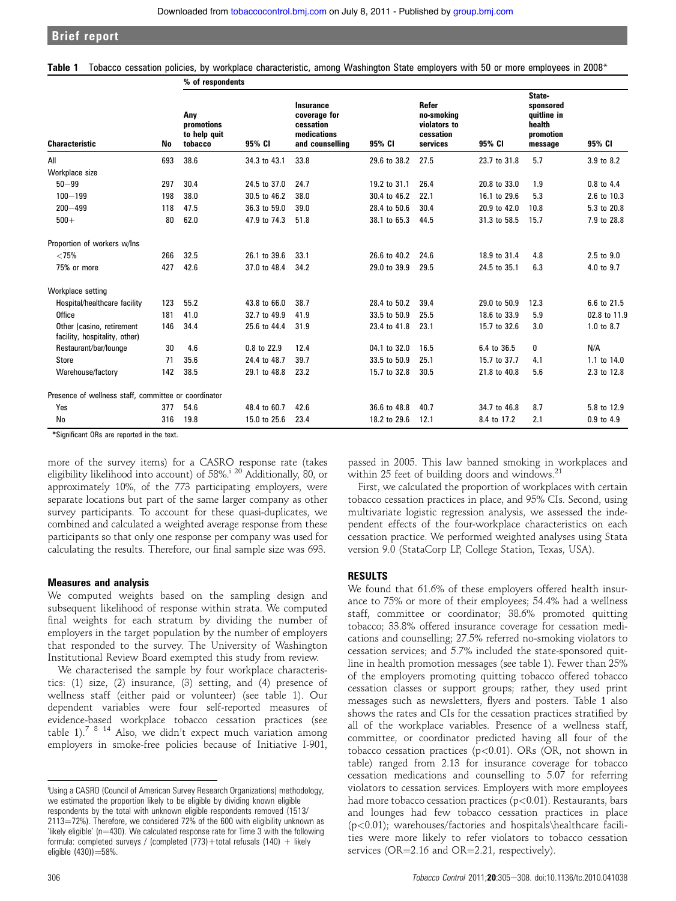Brief report

|  | Table 1 Tobacco cessation policies, by workplace characteristic, among Washington State employers with 50 or more employees in 2008* |  |  |  |  |  |  |  |  |  |  |
|--|--------------------------------------------------------------------------------------------------------------------------------------|--|--|--|--|--|--|--|--|--|--|
|--|--------------------------------------------------------------------------------------------------------------------------------------|--|--|--|--|--|--|--|--|--|--|

|                                                            | No  | w ui ruspunuunts                             |              |                                                                                 |              |                                                              |              |                                                                      |                |  |  |
|------------------------------------------------------------|-----|----------------------------------------------|--------------|---------------------------------------------------------------------------------|--------------|--------------------------------------------------------------|--------------|----------------------------------------------------------------------|----------------|--|--|
| <b>Characteristic</b>                                      |     | Any<br>promotions<br>to help quit<br>tobacco | 95% CI       | <b>Insurance</b><br>coverage for<br>cessation<br>medications<br>and counselling | 95% CI       | Refer<br>no-smoking<br>violators to<br>cessation<br>services | 95% CI       | State-<br>sponsored<br>quitline in<br>health<br>promotion<br>message | 95% CI         |  |  |
| All                                                        | 693 | 38.6                                         | 34.3 to 43.1 | 33.8                                                                            | 29.6 to 38.2 | 27.5                                                         | 23.7 to 31.8 | 5.7                                                                  | 3.9 to 8.2     |  |  |
| Workplace size                                             |     |                                              |              |                                                                                 |              |                                                              |              |                                                                      |                |  |  |
| $50 - 99$                                                  | 297 | 30.4                                         | 24.5 to 37.0 | 24.7                                                                            | 19.2 to 31.1 | 26.4                                                         | 20.8 to 33.0 | 1.9                                                                  | 0.8 to 4.4     |  |  |
| $100 - 199$                                                | 198 | 38.0                                         | 30.5 to 46.2 | 38.0                                                                            | 30.4 to 46.2 | 22.1                                                         | 16.1 to 29.6 | 5.3                                                                  | 2.6 to 10.3    |  |  |
| $200 - 499$                                                | 118 | 47.5                                         | 36.3 to 59.0 | 39.0                                                                            | 28.4 to 50.6 | 30.4                                                         | 20.9 to 42.0 | 10.8                                                                 | 5.3 to 20.8    |  |  |
| $500+$                                                     | 80  | 62.0                                         | 47.9 to 74.3 | 51.8                                                                            | 38.1 to 65.3 | 44.5                                                         | 31.3 to 58.5 | 15.7                                                                 | 7.9 to 28.8    |  |  |
| Proportion of workers w/lns                                |     |                                              |              |                                                                                 |              |                                                              |              |                                                                      |                |  |  |
| ${<}75%$                                                   | 266 | 32.5                                         | 26.1 to 39.6 | 33.1                                                                            | 26.6 to 40.2 | 24.6                                                         | 18.9 to 31.4 | 4.8                                                                  | 2.5 to 9.0     |  |  |
| 75% or more                                                | 427 | 42.6                                         | 37.0 to 48.4 | 34.2                                                                            | 29.0 to 39.9 | 29.5                                                         | 24.5 to 35.1 | 6.3                                                                  | 4.0 to 9.7     |  |  |
| Workplace setting                                          |     |                                              |              |                                                                                 |              |                                                              |              |                                                                      |                |  |  |
| Hospital/healthcare facility                               | 123 | 55.2                                         | 43.8 to 66.0 | 38.7                                                                            | 28.4 to 50.2 | 39.4                                                         | 29.0 to 50.9 | 12.3                                                                 | 6.6 to 21.5    |  |  |
| <b>Office</b>                                              | 181 | 41.0                                         | 32.7 to 49.9 | 41.9                                                                            | 33.5 to 50.9 | 25.5                                                         | 18.6 to 33.9 | 5.9                                                                  | 02.8 to 11.9   |  |  |
| Other (casino, retirement<br>facility, hospitality, other) | 146 | 34.4                                         | 25.6 to 44.4 | 31.9                                                                            | 23.4 to 41.8 | 23.1                                                         | 15.7 to 32.6 | 3.0                                                                  | 1.0 to 8.7     |  |  |
| Restaurant/bar/lounge                                      | 30  | 4.6                                          | 0.8 to 22.9  | 12.4                                                                            | 04.1 to 32.0 | 16.5                                                         | 6.4 to 36.5  | 0                                                                    | N/A            |  |  |
| <b>Store</b>                                               | 71  | 35.6                                         | 24.4 to 48.7 | 39.7                                                                            | 33.5 to 50.9 | 25.1                                                         | 15.7 to 37.7 | 4.1                                                                  | 1.1 to 14.0    |  |  |
| Warehouse/factory                                          | 142 | 38.5                                         | 29.1 to 48.8 | 23.2                                                                            | 15.7 to 32.8 | 30.5                                                         | 21.8 to 40.8 | 5.6                                                                  | 2.3 to 12.8    |  |  |
| Presence of wellness staff, committee or coordinator       |     |                                              |              |                                                                                 |              |                                                              |              |                                                                      |                |  |  |
| Yes                                                        | 377 | 54.6                                         | 48.4 to 60.7 | 42.6                                                                            | 36.6 to 48.8 | 40.7                                                         | 34.7 to 46.8 | 8.7                                                                  | 5.8 to 12.9    |  |  |
| No                                                         | 316 | 19.8                                         | 15.0 to 25.6 | 23.4                                                                            | 18.2 to 29.6 | 12.1                                                         | 8.4 to 17.2  | 2.1                                                                  | $0.9$ to $4.9$ |  |  |

\*Significant ORs are reported in the text.

more of the survey items) for a CASRO response rate (takes eligibility likelihood into account) of 58%.<sup>i 20</sup> Additionally, 80, or approximately 10%, of the 773 participating employers, were separate locations but part of the same larger company as other survey participants. To account for these quasi-duplicates, we combined and calculated a weighted average response from these participants so that only one response per company was used for calculating the results. Therefore, our final sample size was 693.

 $%$  of respondents

#### Measures and analysis

We computed weights based on the sampling design and subsequent likelihood of response within strata. We computed final weights for each stratum by dividing the number of employers in the target population by the number of employers that responded to the survey. The University of Washington Institutional Review Board exempted this study from review.

We characterised the sample by four workplace characteristics: (1) size, (2) insurance, (3) setting, and (4) presence of wellness staff (either paid or volunteer) (see table 1). Our dependent variables were four self-reported measures of evidence-based workplace tobacco cessation practices (see table 1).<sup>7 8 14</sup> Also, we didn't expect much variation among employers in smoke-free policies because of Initiative I-901,

passed in 2005. This law banned smoking in workplaces and within 25 feet of building doors and windows.<sup>21</sup>

First, we calculated the proportion of workplaces with certain tobacco cessation practices in place, and 95% CIs. Second, using multivariate logistic regression analysis, we assessed the independent effects of the four-workplace characteristics on each cessation practice. We performed weighted analyses using Stata version 9.0 (StataCorp LP, College Station, Texas, USA).

#### RESULTS

We found that 61.6% of these employers offered health insurance to 75% or more of their employees; 54.4% had a wellness staff, committee or coordinator; 38.6% promoted quitting tobacco; 33.8% offered insurance coverage for cessation medications and counselling; 27.5% referred no-smoking violators to cessation services; and 5.7% included the state-sponsored quitline in health promotion messages (see table 1). Fewer than 25% of the employers promoting quitting tobacco offered tobacco cessation classes or support groups; rather, they used print messages such as newsletters, flyers and posters. Table 1 also shows the rates and CIs for the cessation practices stratified by all of the workplace variables. Presence of a wellness staff, committee, or coordinator predicted having all four of the tobacco cessation practices ( $p<0.01$ ). ORs (OR, not shown in table) ranged from 2.13 for insurance coverage for tobacco cessation medications and counselling to 5.07 for referring violators to cessation services. Employers with more employees had more tobacco cessation practices (p<0.01). Restaurants, bars and lounges had few tobacco cessation practices in place  $(p<0.01)$ ; warehouses/factories and hospitals\healthcare facilities were more likely to refer violators to tobacco cessation services ( $OR = 2.16$  and  $OR = 2.21$ , respectively).

i Using a CASRO (Council of American Survey Research Organizations) methodology, we estimated the proportion likely to be eligible by dividing known eligible respondents by the total with unknown eligible respondents removed (1513/  $2113 = 72\%$ ). Therefore, we considered 72% of the 600 with eligibility unknown as 'likely eligible' ( $n=430$ ). We calculated response rate for Time 3 with the following formula: completed surveys / (completed  $(773) +$ total refusals  $(140) +$  likely eligible  $(430)$ ) = 58%.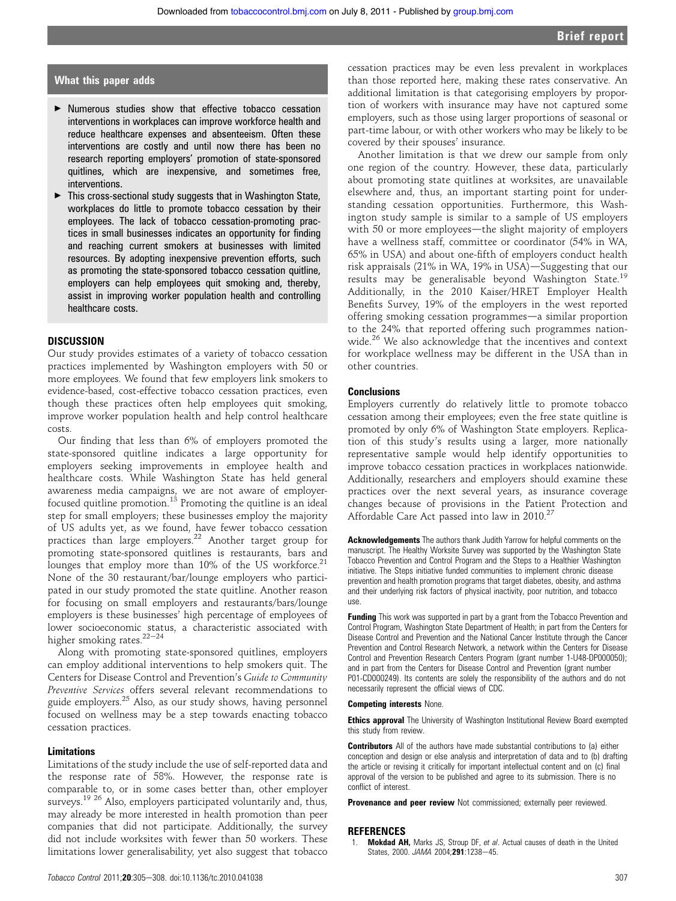### What this paper adds

- < Numerous studies show that effective tobacco cessation interventions in workplaces can improve workforce health and reduce healthcare expenses and absenteeism. Often these interventions are costly and until now there has been no research reporting employers' promotion of state-sponsored quitlines, which are inexpensive, and sometimes free, interventions.
- $\blacktriangleright$  This cross-sectional study suggests that in Washington State, workplaces do little to promote tobacco cessation by their employees. The lack of tobacco cessation-promoting practices in small businesses indicates an opportunity for finding and reaching current smokers at businesses with limited resources. By adopting inexpensive prevention efforts, such as promoting the state-sponsored tobacco cessation quitline, employers can help employees quit smoking and, thereby, assist in improving worker population health and controlling healthcare costs.

### DISCUSSION

Our study provides estimates of a variety of tobacco cessation practices implemented by Washington employers with 50 or more employees. We found that few employers link smokers to evidence-based, cost-effective tobacco cessation practices, even though these practices often help employees quit smoking, improve worker population health and help control healthcare costs.

Our finding that less than 6% of employers promoted the state-sponsored quitline indicates a large opportunity for employers seeking improvements in employee health and healthcare costs. While Washington State has held general awareness media campaigns, we are not aware of employerfocused quitline promotion.<sup>13</sup> Promoting the quitline is an ideal step for small employers; these businesses employ the majority of US adults yet, as we found, have fewer tobacco cessation practices than large employers.<sup>22</sup> Another target group for promoting state-sponsored quitlines is restaurants, bars and lounges that employ more than 10% of the US workforce.<sup>21</sup> None of the 30 restaurant/bar/lounge employers who participated in our study promoted the state quitline. Another reason for focusing on small employers and restaurants/bars/lounge employers is these businesses' high percentage of employees of lower socioeconomic status, a characteristic associated with higher smoking rates. $22-24$ 

Along with promoting state-sponsored quitlines, employers can employ additional interventions to help smokers quit. The Centers for Disease Control and Prevention's Guide to Community Preventive Services offers several relevant recommendations to guide employers.<sup>25</sup> Also, as our study shows, having personnel focused on wellness may be a step towards enacting tobacco cessation practices.

#### Limitations

Limitations of the study include the use of self-reported data and the response rate of 58%. However, the response rate is comparable to, or in some cases better than, other employer surveys.<sup>19 26</sup> Also, employers participated voluntarily and, thus, may already be more interested in health promotion than peer companies that did not participate. Additionally, the survey did not include worksites with fewer than 50 workers. These limitations lower generalisability, yet also suggest that tobacco

cessation practices may be even less prevalent in workplaces than those reported here, making these rates conservative. An additional limitation is that categorising employers by proportion of workers with insurance may have not captured some employers, such as those using larger proportions of seasonal or part-time labour, or with other workers who may be likely to be covered by their spouses' insurance.

Another limitation is that we drew our sample from only one region of the country. However, these data, particularly about promoting state quitlines at worksites, are unavailable elsewhere and, thus, an important starting point for understanding cessation opportunities. Furthermore, this Washington study sample is similar to a sample of US employers with 50 or more employees—the slight majority of employers have a wellness staff, committee or coordinator (54% in WA, 65% in USA) and about one-fifth of employers conduct health risk appraisals  $(21\%$  in WA,  $19\%$  in USA) $-$ Suggesting that our results may be generalisable beyond Washington State.<sup>19</sup> Additionally, in the 2010 Kaiser/HRET Employer Health Benefits Survey, 19% of the employers in the west reported offering smoking cessation programmes—a similar proportion to the 24% that reported offering such programmes nationwide.<sup>26</sup> We also acknowledge that the incentives and context for workplace wellness may be different in the USA than in other countries.

#### **Conclusions**

Employers currently do relatively little to promote tobacco cessation among their employees; even the free state quitline is promoted by only 6% of Washington State employers. Replication of this study's results using a larger, more nationally representative sample would help identify opportunities to improve tobacco cessation practices in workplaces nationwide. Additionally, researchers and employers should examine these practices over the next several years, as insurance coverage changes because of provisions in the Patient Protection and Affordable Care Act passed into law in 2010.27

Acknowledgements The authors thank Judith Yarrow for helpful comments on the manuscript. The Healthy Worksite Survey was supported by the Washington State Tobacco Prevention and Control Program and the Steps to a Healthier Washington initiative. The Steps initiative funded communities to implement chronic disease prevention and health promotion programs that target diabetes, obesity, and asthma and their underlying risk factors of physical inactivity, poor nutrition, and tobacco use.

Funding This work was supported in part by a grant from the Tobacco Prevention and Control Program, Washington State Department of Health; in part from the Centers for Disease Control and Prevention and the National Cancer Institute through the Cancer Prevention and Control Research Network, a network within the Centers for Disease Control and Prevention Research Centers Program (grant number 1-U48-DP000050); and in part from the Centers for Disease Control and Prevention (grant number P01-CD000249). Its contents are solely the responsibility of the authors and do not necessarily represent the official views of CDC.

#### Competing interests None.

**Ethics approval** The University of Washington Institutional Review Board exempted this study from review.

**Contributors** All of the authors have made substantial contributions to (a) either conception and design or else analysis and interpretation of data and to (b) drafting the article or revising it critically for important intellectual content and on (c) final approval of the version to be published and agree to its submission. There is no conflict of interest.

Provenance and peer review Not commissioned; externally peer reviewed.

#### **REFERENCES**

1. Mokdad AH, Marks JS, Stroup DF, et al. Actual causes of death in the United States, 2000. JAMA 2004:291:1238-45.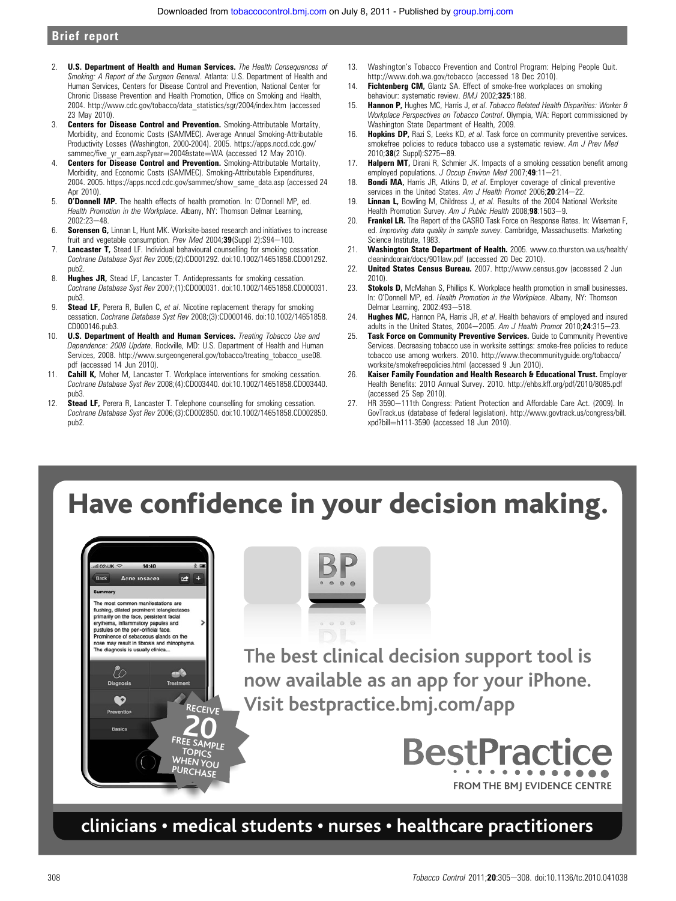# Brief report

- 2. **U.S. Department of Health and Human Services.** The Health Consequences of Smoking: A Report of the Surgeon General. Atlanta: U.S. Department of Health and Human Services, Centers for Disease Control and Prevention, National Center for Chronic Disease Prevention and Health Promotion, Office on Smoking and Health, 2004. http://www.cdc.gov/tobacco/data\_statistics/sgr/2004/index.htm (accessed 23 May 2010).
- 3. **Centers for Disease Control and Prevention.** Smoking-Attributable Mortality, Morbidity, and Economic Costs (SAMMEC). Average Annual Smoking-Attributable Productivity Losses (Washington, 2000-2004). 2005. https://apps.nccd.cdc.gov/ sammec/five\_yr\_earn.asp?year=2004&state=WA (accessed 12 May 2010).
- 4. **Centers for Disease Control and Prevention.** Smoking-Attributable Mortality, Morbidity, and Economic Costs (SAMMEC). Smoking-Attributable Expenditures, 2004. 2005. https://apps.nccd.cdc.gov/sammec/show\_same\_data.asp (accessed 24 Apr 2010).
- 5. O'Donnell MP. The health effects of health promotion. In: O'Donnell MP, ed. Health Promotion in the Workplace. Albany, NY: Thomson Delmar Learning,  $2002.23 - 48$
- 6. Sorensen G, Linnan L, Hunt MK. Worksite-based research and initiatives to increase fruit and vegetable consumption. Prev Med 2004;  $39$ (Suppl 2): S94-100.
- 7. **Lancaster T,** Stead LF. Individual behavioural counselling for smoking cessation. Cochrane Database Syst Rev 2005;(2):CD001292. doi:10.1002/14651858.CD001292. pub2.
- 8. **Hughes JR,** Stead LF, Lancaster T. Antidepressants for smoking cessation. Cochrane Database Syst Rev 2007;(1):CD000031. doi:10.1002/14651858.CD000031. pub3.
- 9. Stead LF, Perera R, Bullen C, et al. Nicotine replacement therapy for smoking cessation. Cochrane Database Syst Rev 2008;(3):CD000146. doi:10.1002/14651858. CD000146.pub3.
- 10. **U.S. Department of Health and Human Services.** Treating Tobacco Use and Dependence: 2008 Update. Rockville, MD: U.S. Department of Health and Human Services, 2008. http://www.surgeongeneral.gov/tobacco/treating\_tobacco\_use08. pdf (accessed 14 Jun 2010).
- 11. Cahill K, Moher M, Lancaster T. Workplace interventions for smoking cessation. Cochrane Database Syst Rev 2008;(4):CD003440. doi:10.1002/14651858.CD003440. pub3.
- 12. Stead LF, Perera R, Lancaster T. Telephone counselling for smoking cessation. Cochrane Database Syst Rev 2006;(3):CD002850. doi:10.1002/14651858.CD002850. pub2.
- 13. Washington's Tobacco Prevention and Control Program: Helping People Quit. http://www.doh.wa.gov/tobacco (accessed 18 Dec 2010).
- 14. Fichtenberg CM, Glantz SA. Effect of smoke-free workplaces on smoking behaviour: systematic review. BMJ 2002;325:188.
- 15. Hannon P, Hughes MC, Harris J, et al. Tobacco Related Health Disparities: Worker & Workplace Perspectives on Tobacco Control. Olympia, WA: Report commissioned by Washington State Department of Health, 2009.
- 16. **Hopkins DP,** Razi S, Leeks KD, et al. Task force on community preventive services. smokefree policies to reduce tobacco use a systematic review. Am J Prev Med 2010;38(2 Suppl):S275-89.
- 17. Halpern MT, Dirani R, Schmier JK. Impacts of a smoking cessation benefit among employed populations. J Occup Environ Med 2007;49:11-21.
- 18. **Bondi MA, Harris JR, Atkins D, et al. Employer coverage of clinical preventive** services in the United States. Am J Health Promot 2006;20:214-22.
- 19. **Linnan L.** Bowling M. Childress J. et al. Results of the 2004 National Worksite Health Promotion Survey. Am J Public Health 2008;98:1503-9.
- 20. Frankel LR. The Report of the CASRO Task Force on Response Rates. In: Wiseman F, ed. Improving data quality in sample survey. Cambridge, Massachusetts: Marketing Science Institute, 1983.
- 21. Washington State Department of Health. 2005. www.co.thurston.wa.us/health/ cleanindoorair/docs/901law.pdf (accessed 20 Dec 2010).
- 22. **United States Census Bureau.** 2007. http://www.census.gov (accessed 2 Jun 2010).
- 23. Stokols D, McMahan S, Phillips K. Workplace health promotion in small businesses. In: O'Donnell MP, ed. Health Promotion in the Workplace. Albany, NY: Thomson Delmar Learning, 2002:493-518.
- 24. Hughes MC, Hannon PA, Harris JR, et al. Health behaviors of employed and insured adults in the United States, 2004-2005. Am J Health Promot 2010;24:315-23.
- 25. Task Force on Community Preventive Services. Guide to Community Preventive Services. Decreasing tobacco use in worksite settings: smoke-free policies to reduce tobacco use among workers. 2010. http://www.thecommunityguide.org/tobacco/ worksite/smokefreepolicies.html (accessed 9 Jun 2010).
- 26. Kaiser Family Foundation and Health Research & Educational Trust. Employer Health Benefits: 2010 Annual Survey. 2010. http://ehbs.kff.org/pdf/2010/8085.pdf (accessed 25 Sep 2010).
- 27. HR 3590-111th Congress: Patient Protection and Affordable Care Act. (2009). In GovTrack.us (database of federal legislation). http://www.govtrack.us/congress/bill. xpd?bill=h111-3590 (accessed 18 Jun 2010).

# Have confidence in your decision making.





**The best clinical decision support tool is now available as an app for your iPhone. Visit bestpractice.bmj.com/app**



# **clinicians • medical students • nurses • healthcare practitioners**